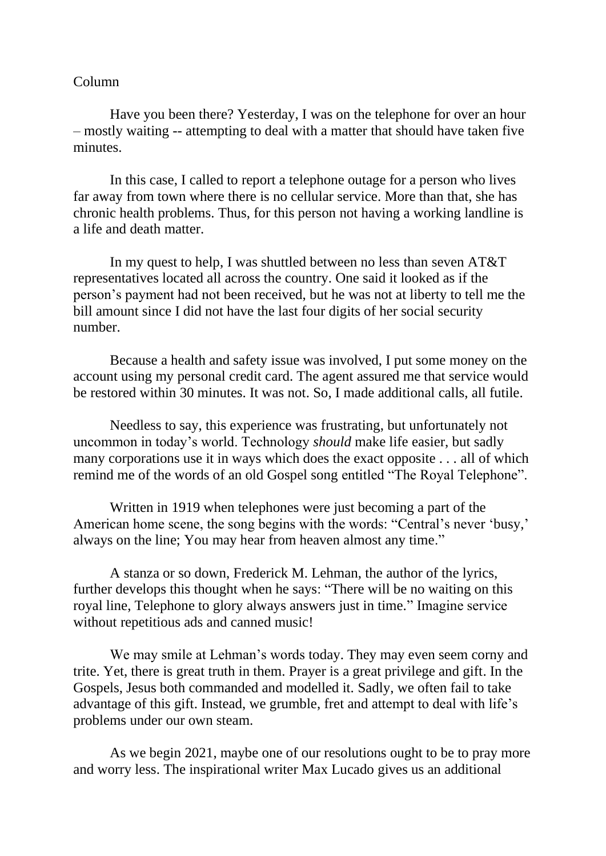## Column

Have you been there? Yesterday, I was on the telephone for over an hour – mostly waiting -- attempting to deal with a matter that should have taken five minutes.

In this case, I called to report a telephone outage for a person who lives far away from town where there is no cellular service. More than that, she has chronic health problems. Thus, for this person not having a working landline is a life and death matter.

In my quest to help, I was shuttled between no less than seven AT&T representatives located all across the country. One said it looked as if the person's payment had not been received, but he was not at liberty to tell me the bill amount since I did not have the last four digits of her social security number.

Because a health and safety issue was involved, I put some money on the account using my personal credit card. The agent assured me that service would be restored within 30 minutes. It was not. So, I made additional calls, all futile.

Needless to say, this experience was frustrating, but unfortunately not uncommon in today's world. Technology *should* make life easier, but sadly many corporations use it in ways which does the exact opposite . . . all of which remind me of the words of an old Gospel song entitled "The Royal Telephone".

Written in 1919 when telephones were just becoming a part of the American home scene, the song begins with the words: "Central's never 'busy,' always on the line; You may hear from heaven almost any time."

A stanza or so down, Frederick M. Lehman, the author of the lyrics, further develops this thought when he says: "There will be no waiting on this royal line, Telephone to glory always answers just in time." Imagine service without repetitious ads and canned music!

We may smile at Lehman's words today. They may even seem corny and trite. Yet, there is great truth in them. Prayer is a great privilege and gift. In the Gospels, Jesus both commanded and modelled it. Sadly, we often fail to take advantage of this gift. Instead, we grumble, fret and attempt to deal with life's problems under our own steam.

As we begin 2021, maybe one of our resolutions ought to be to pray more and worry less. The inspirational writer Max Lucado gives us an additional